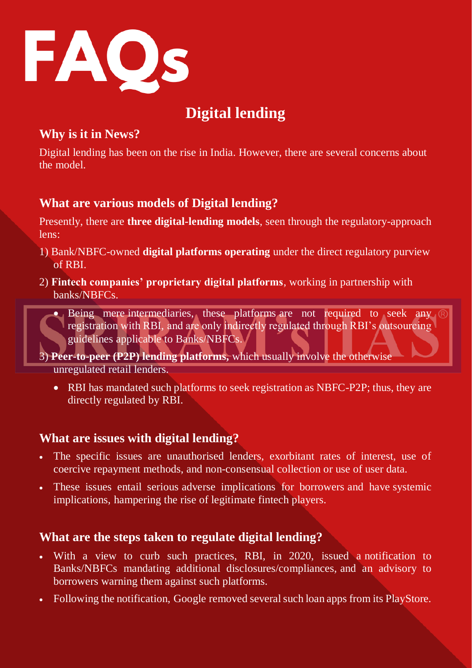

# **Digital lending**

## **Why is it in News?**

Digital lending has been on the rise in India. However, there are several concerns about the model.

### **What are various models of Digital lending?**

Presently, there are **three digital-lending models**, seen through the regulatory-approach lens:

- 1) Bank/NBFC-owned **digital platforms operating** under the direct regulatory purview of RBI.
- 2) **Fintech companies' proprietary digital platforms**, working in partnership with banks/NBFCs.



3) **Peer-to-peer (P2P) lending platforms,** which usually involve the otherwise unregulated retail lenders.

• RBI has mandated such platforms to seek registration as NBFC-P2P; thus, they are directly regulated by RBI.

### **What are issues with digital lending?**

- The specific issues are unauthorised lenders, exorbitant rates of interest, use of coercive repayment methods, and non-consensual collection or use of user data.
- These issues entail serious adverse implications for borrowers and have systemic implications, hampering the rise of legitimate fintech players.

### **What are the steps taken to regulate digital lending?**

- With a view to curb such practices, RBI, in 2020, issued a notification to Banks/NBFCs mandating additional disclosures/compliances, and an advisory to borrowers warning them against such platforms.
- Following the notification, Google removed several such loan apps from its PlayStore.